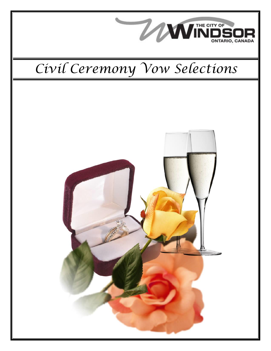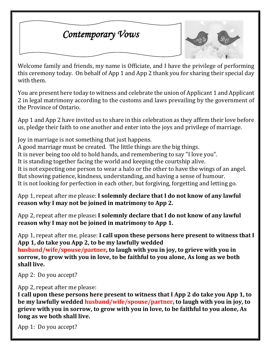## *Contemporary Vows*



Welcome family and friends, my name is Officiate, and I have the privilege of performing this ceremony today. On behalf of App 1 and App 2 thank you for sharing their special day with them.

You are present here today to witness and celebrate the union of Applicant 1 and Applicant 2 in legal matrimony according to the customs and laws prevailing by the government of the Province of Ontario.

App 1 and App 2 have invited us to share in this celebration as they affirm their love before us, pledge their faith to one another and enter into the joys and privilege of marriage.

Joy in marriage is not something that just happens. A good marriage must be created. The little things are the big things.

It is never being too old to hold hands, and remembering to say "I love you".

It is standing together facing the world and keeping the courtship alive.

It is not expecting one person to wear a halo or the other to have the wings of an angel. But showing patience, kindness, understanding, and having a sense of humour. It is not looking for perfection in each other, but forgiving, forgetting and letting go.

App 1, repeat after me please: **I solemnly declare that I do not know of any lawful reason why I may not be joined in matrimony to App 2.**

App 2, repeat after me please**: I solemnly declare that I do not know of any lawful reason why I may not be joined in matrimony to App 1.**

App 1, repeat after me, please: **I call upon these persons here present to witness that I App 1, do take you App 2, to be my lawfully wedded** 

**husband/wife/spouse/partner, to laugh with you in joy, to grieve with you in sorrow, to grow with you in love, to be faithful to you alone, As long as we both shall live.**

App 2: Do you accept?

App 2, repeat after me please:

**I call upon these persons here present to witness that I App 2 do take you App 1, to be my lawfully wedded husband/wife/spouse/partner, to laugh with you in joy, to grieve with you in sorrow, to grow with you in love, to be faithful to you alone, As long as we both shall live.**

App 1: Do you accept?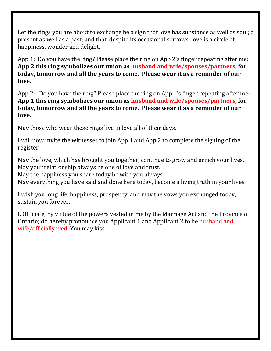Let the rings you are about to exchange be a sign that love has substance as well as soul; a present as well as a past; and that, despite its occasional sorrows, love is a circle of happiness, wonder and delight.

App 1: Do you have the ring? Please place the ring on App 2's finger repeating after me: **App 2 this ring symbolizes our union as husband and wife/spouses/partners, for today, tomorrow and all the years to come. Please wear it as a reminder of our love.**

App 2: Do you have the ring? Please place the ring on App 1's finger repeating after me: **App 1 this ring symbolizes our union as husband and wife/spouses/partners, for today, tomorrow and all the years to come. Please wear it as a reminder of our love.**

May those who wear these rings live in love all of their days.

I will now invite the witnesses to join App 1 and App 2 to complete the signing of the register.

May the love, which has brought you together, continue to grow and enrich your lives. May your relationship always be one of love and trust.

May the happiness you share today be with you always.

May everything you have said and done here today, become a living truth in your lives.

I wish you long life, happiness, prosperity, and may the vows you exchanged today, sustain you forever.

I, Officiate, by virtue of the powers vested in me by the Marriage Act and the Province of Ontario; do hereby pronounce you Applicant 1 and Applicant 2 to be husband and wife/officially wed. You may kiss.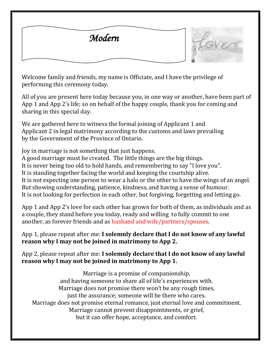



Welcome family and friends, my name is Officiate, and I have the privilege of performing this ceremony today.

All of you are present here today because you, in one way or another, have been part of App 1 and App 2's life; so on behalf of the happy couple, thank you for coming and sharing in this special day.

We are gathered here to witness the formal joining of Applicant 1 and Applicant 2 in legal matrimony according to the customs and laws prevailing by the Government of the Province of Ontario.

Joy in marriage is not something that just happens.

A good marriage must be created. The little things are the big things. It is never being too old to hold hands, and remembering to say "I love you".

It is standing together facing the world and keeping the courtship alive.

It is not expecting one person to wear a halo or the other to have the wings of an angel. But showing understanding, patience, kindness, and having a sense of humour. It is not looking for perfection in each other, but forgiving, forgetting and letting go.

App 1 and App 2's love for each other has grown for both of them, as individuals and as a couple, they stand before you today, ready and willing to fully commit to one another, as forever friends and as husband and wife/partners/spouses.

App 1, please repeat after me: **I solemnly declare that I do not know of any lawful reason why I may not be joined in matrimony to App 2.**

App 2, please repeat after me: **I solemnly declare that I do not know of any lawful reason why I may not be joined in matrimony to App 1.**

Marriage is a promise of companionship, and having someone to share all of life's experiences with. Marriage does not promise there won't be any rough times, just the assurance; someone will be there who cares. Marriage does not promise eternal romance, just eternal love and commitment. Marriage cannot prevent disappointments, or grief, but it can offer hope, acceptance, and comfort.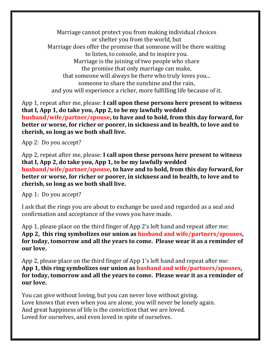Marriage cannot protect you from making individual choices or shelter you from the world, but Marriage does offer the promise that someone will be there waiting to listen, to console, and to inspire you. Marriage is the joining of two people who share the promise that only marriage can make, that someone will always be there who truly loves you... someone to share the sunshine and the rain, and you will experience a richer, more fulfilling life because of it.

App 1, repeat after me, please: **I call upon these persons here present to witness that I, App 1, do take you, App 2, to be my lawfully wedded husband/wife/partner/spouse, to have and to hold, from this day forward, for better or worse, for richer or poorer, in sickness and in health, to love and to cherish, so long as we both shall live.**

App 2: Do you accept?

App 2, repeat after me, please: **I call upon these persons here present to witness that I, App 2, do take you, App 1, to be my lawfully wedded husband/wife/partner/spouse, to have and to hold, from this day forward, for better or worse, for richer or poorer, in sickness and in health, to love and to cherish, so long as we both shall live.**

App 1: Do you accept?

I ask that the rings you are about to exchange be used and regarded as a seal and confirmation and acceptance of the vows you have made.

App 1, please place on the third finger of App 2's left hand and repeat after me: **App 2, this ring symbolizes our union as husband and wife/partners/spouses, for today, tomorrow and all the years to come. Please wear it as a reminder of our love.**

App 2, please place on the third finger of App 1's left hand and repeat after me: **App 1, this ring symbolizes our union as husband and wife/partners/spouses, for today, tomorrow and all the years to come. Please wear it as a reminder of our love.**

You can give without loving, but you can never love without giving. Love knows that even when you are alone, you will never be lonely again. And great happiness of life is the conviction that we are loved. Loved for ourselves, and even loved in spite of ourselves.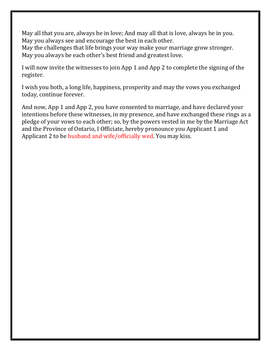May all that you are, always be in love; And may all that is love, always be in you. May you always see and encourage the best in each other.

May the challenges that life brings your way make your marriage grow stronger. May you always be each other's best friend and greatest love.

I will now invite the witnesses to join App 1 and App 2 to complete the signing of the register.

I wish you both, a long life, happiness, prosperity and may the vows you exchanged today, continue forever.

And now, App 1 and App 2, you have consented to marriage, and have declared your intentions before these witnesses, in my presence, and have exchanged these rings as a pledge of your vows to each other; so, by the powers vested in me by the Marriage Act and the Province of Ontario, I Officiate, hereby pronounce you Applicant 1 and Applicant 2 to be husband and wife/officially wed. You may kiss.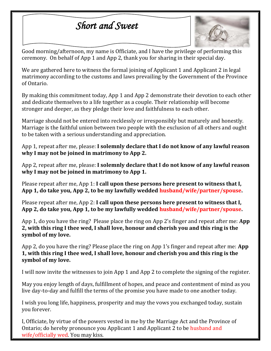## *Short and Sweet*



Good morning/afternoon, my name is Officiate, and I have the privilege of performing this ceremony. On behalf of App 1 and App 2, thank you for sharing in their special day.

We are gathered here to witness the formal joining of Applicant 1 and Applicant 2 in legal matrimony according to the customs and laws prevailing by the Government of the Province of Ontario.

By making this commitment today, App 1 and App 2 demonstrate their devotion to each other and dedicate themselves to a life together as a couple. Their relationship will become stronger and deeper, as they pledge their love and faithfulness to each other.

Marriage should not be entered into recklessly or irresponsibly but maturely and honestly. Marriage is the faithful union between two people with the exclusion of all others and ought to be taken with a serious understanding and appreciation.

App 1, repeat after me, please: **I solemnly declare that I do not know of any lawful reason why I may not be joined in matrimony to App 2.**

App 2, repeat after me, please: **I solemnly declare that I do not know of any lawful reason why I may not be joined in matrimony to App 1.**

Please repeat after me, App 1: **I call upon these persons here present to witness that I, App 1, do take you, App 2, to be my lawfully wedded husband/wife/partner/spouse.**

Please repeat after me, App 2: **I call upon these persons here present to witness that I, App 2, do take you, App 1, to be my lawfully wedded husband/wife/partner/spouse.**

App 1, do you have the ring? Please place the ring on App 2's finger and repeat after me: **App 2, with this ring I thee wed, I shall love, honour and cherish you and this ring is the symbol of my love.**

App 2, do you have the ring? Please place the ring on App 1's finger and repeat after me: **App 1, with this ring I thee wed, I shall love, honour and cherish you and this ring is the symbol of my love.**

I will now invite the witnesses to join App 1 and App 2 to complete the signing of the register.

May you enjoy length of days, fulfillment of hopes, and peace and contentment of mind as you live day-to-day and fulfill the terms of the promise you have made to one another today.

I wish you long life, happiness, prosperity and may the vows you exchanged today, sustain you forever.

I, Officiate, by virtue of the powers vested in me by the Marriage Act and the Province of Ontario; do hereby pronounce you Applicant 1 and Applicant 2 to be husband and wife/officially wed. You may kiss.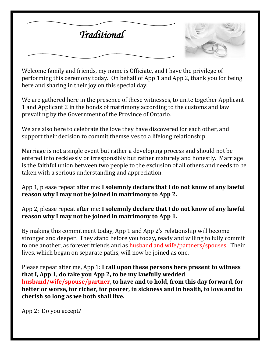



Welcome family and friends, my name is Officiate, and I have the privilege of performing this ceremony today. On behalf of App 1 and App 2, thank you for being here and sharing in their joy on this special day.

We are gathered here in the presence of these witnesses, to unite together Applicant 1 and Applicant 2 in the bonds of matrimony according to the customs and law prevailing by the Government of the Province of Ontario.

We are also here to celebrate the love they have discovered for each other, and support their decision to commit themselves to a lifelong relationship.

Marriage is not a single event but rather a developing process and should not be entered into recklessly or irresponsibly but rather maturely and honestly. Marriage is the faithful union between two people to the exclusion of all others and needs to be taken with a serious understanding and appreciation.

App 1, please repeat after me: **I solemnly declare that I do not know of any lawful reason why I may not be joined in matrimony to App 2.**

App 2, please repeat after me: **I solemnly declare that I do not know of any lawful reason why I may not be joined in matrimony to App 1.**

By making this commitment today, App 1 and App 2's relationship will become stronger and deeper. They stand before you today, ready and willing to fully commit to one another, as forever friends and as husband and wife/partners/spouses. Their lives, which began on separate paths, will now be joined as one.

Please repeat after me, App 1: **I call upon these persons here present to witness that I, App 1, do take you App 2, to be my lawfully wedded husband/wife/spouse/partner, to have and to hold, from this day forward, for better or worse, for richer, for poorer, in sickness and in health, to love and to cherish so long as we both shall live.**

App 2: Do you accept?